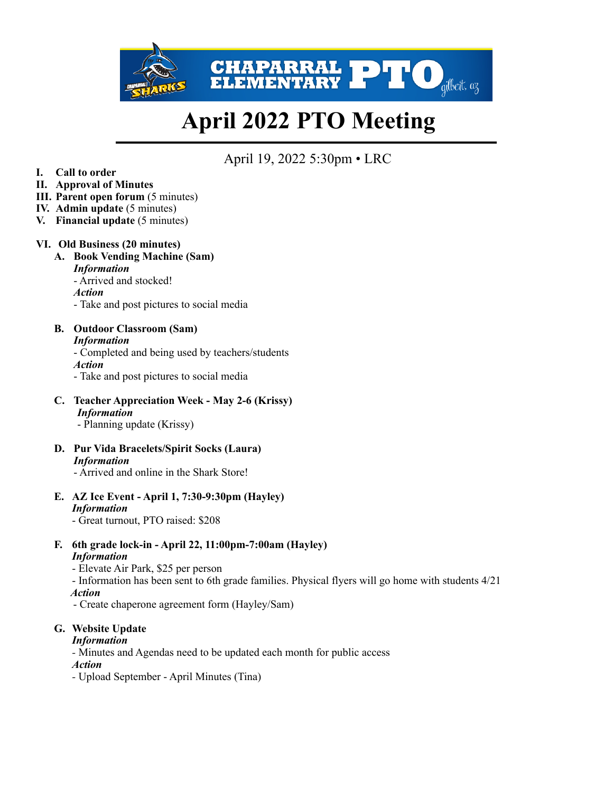

# **April 2022 PTO Meeting**

# April 19, 2022 5:30pm • LRC

- **I. Call to order**
- **II. Approval of Minutes**
- **III.** Parent open forum  $(5 \text{ minutes})$
- **IV. Admin update** (5 minutes)
- **V. Financial update** (5 minutes)

#### **VI. Old Business (20 minutes)**

**A. Book Vending Machine (Sam)**  *Information* - Arrived and stocked! *Action*  - Take and post pictures to social media

# **B. Outdoor Classroom (Sam)**

*Information* - Completed and being used by teachers/students *Action*  - Take and post pictures to social media

**C. Teacher Appreciation Week - May 2-6 (Krissy)** *Information* 

- Planning update (Krissy)

**D. Pur Vida Bracelets/Spirit Socks (Laura)**  *Information*

- Arrived and online in the Shark Store!

**E. AZ Ice Event - April 1, 7:30-9:30pm (Hayley)**  *Information* 

- Great turnout, PTO raised: \$208

- **F. 6th grade lock-in April 22, 11:00pm-7:00am (Hayley)**  *Information* 
	- Elevate Air Park, \$25 per person
	- Information has been sent to 6th grade families. Physical flyers will go home with students 4/21
	- *Action*
	- Create chaperone agreement form (Hayley/Sam)

#### **G. Website Update**

#### *Information*

*-* Minutes and Agendas need to be updated each month for public access

*Action* 

*-* Upload September - April Minutes (Tina)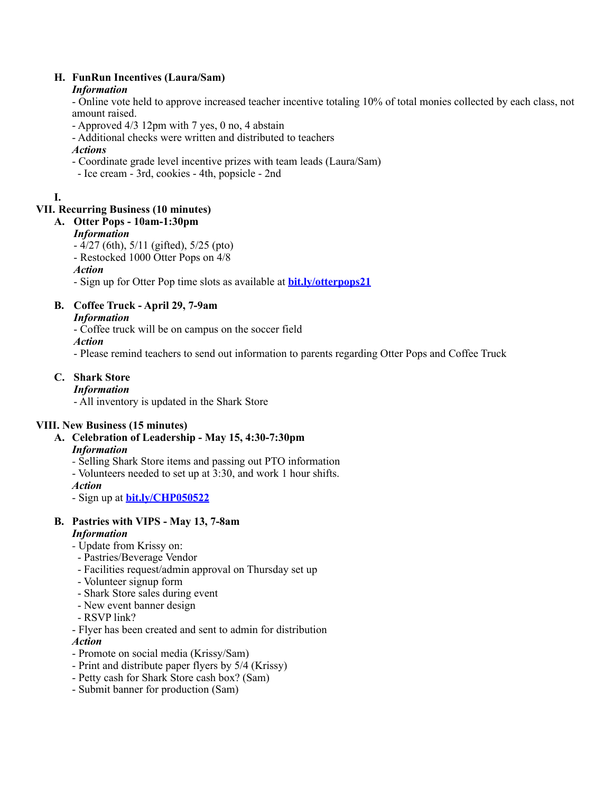#### **H. FunRun Incentives (Laura/Sam)**

## *Information*

- Online vote held to approve increased teacher incentive totaling 10% of total monies collected by each class, not amount raised.

- Approved 4/3 12pm with 7 yes, 0 no, 4 abstain

- Additional checks were written and distributed to teachers

## *Actions*

- Coordinate grade level incentive prizes with team leads (Laura/Sam)
- Ice cream 3rd, cookies 4th, popsicle 2nd

# **I.**

# **VII. Recurring Business (10 minutes)**

## **A. Otter Pops - 10am-1:30pm**

# *Information*

- 4/27 (6th), 5/11 (gifted), 5/25 (pto)
- Restocked 1000 Otter Pops on 4/8

*Action*

- Sign up for Otter Pop time slots as available at **[bit.ly/otterpops21](http://bit.ly/otterpops21)**

# **B. Coffee Truck - April 29, 7-9am**

## *Information*

- Coffee truck will be on campus on the soccer field

*Action* 

- Please remind teachers to send out information to parents regarding Otter Pops and Coffee Truck

# **C. Shark Store**

#### *Information*

- All inventory is updated in the Shark Store

# **VIII. New Business (15 minutes)**

- **A. Celebration of Leadership May 15, 4:30-7:30pm**  *Information*
	- Selling Shark Store items and passing out PTO information
	- Volunteers needed to set up at 3:30, and work 1 hour shifts.

#### *Action*

- Sign up at **[bit.ly/CHP050522](http://bit.ly/CHP050522)**

# **B. Pastries with VIPS - May 13, 7-8am**

# *Information*

- Update from Krissy on:
- Pastries/Beverage Vendor
- Facilities request/admin approval on Thursday set up
- Volunteer signup form
- Shark Store sales during event
- New event banner design
- RSVP link?
- Flyer has been created and sent to admin for distribution

#### *Action*

- Promote on social media (Krissy/Sam)
- Print and distribute paper flyers by 5/4 (Krissy)
- Petty cash for Shark Store cash box? (Sam)
- Submit banner for production (Sam)